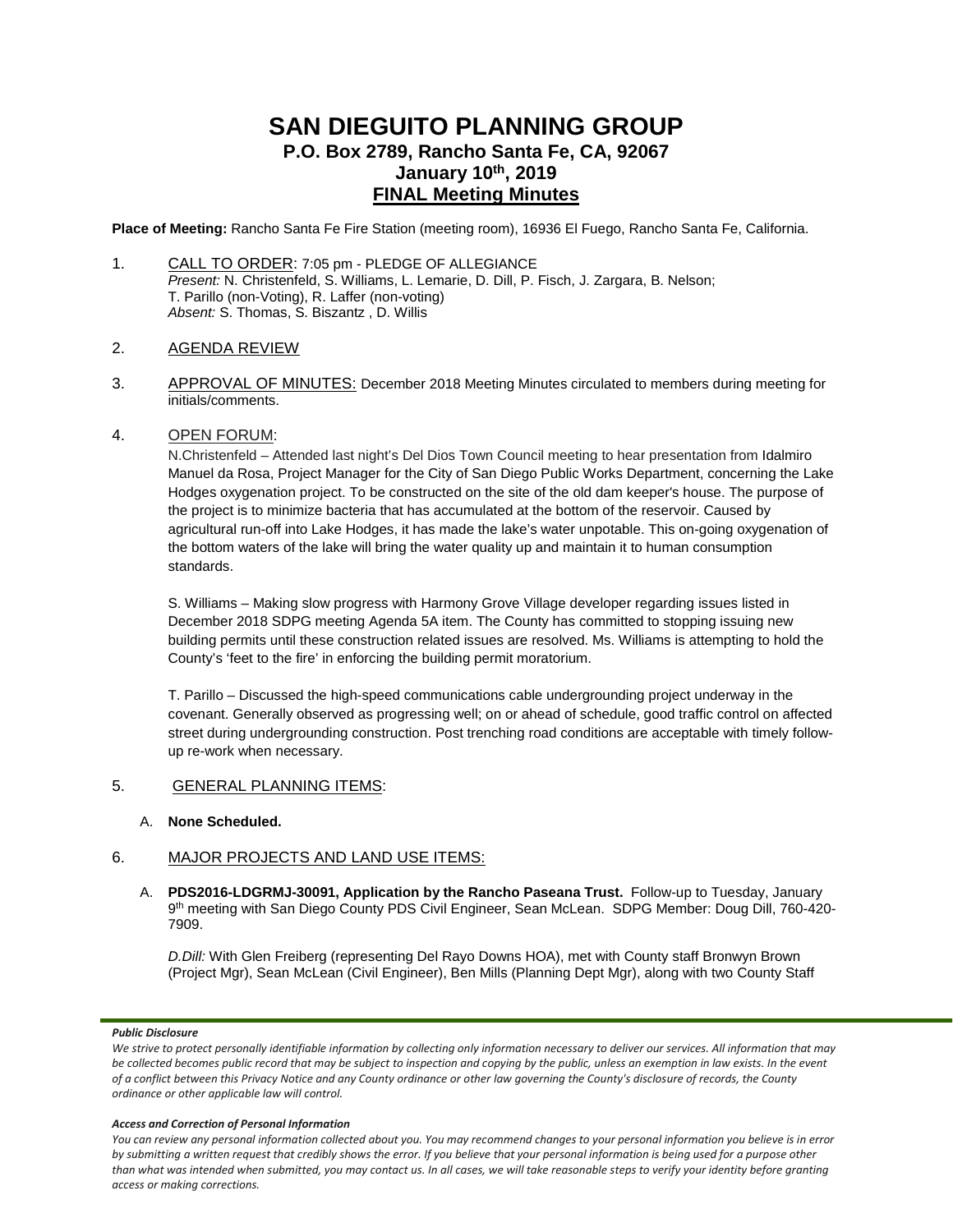# **SAN DIEGUITO PLANNING GROUP P.O. Box 2789, Rancho Santa Fe, CA, 92067 January 10th, 2019 FINAL Meeting Minutes**

**Place of Meeting:** Rancho Santa Fe Fire Station (meeting room), 16936 El Fuego, Rancho Santa Fe, California.

- 1. CALL TO ORDER: 7:05 pm PLEDGE OF ALLEGIANCE *Present:* N. Christenfeld, S. Williams, L. Lemarie, D. Dill, P. Fisch, J. Zargara, B. Nelson; T. Parillo (non-Voting), R. Laffer (non-voting) *Absent:* S. Thomas, S. Biszantz , D. Willis
- 2. AGENDA REVIEW
- 3. APPROVAL OF MINUTES: December 2018 Meeting Minutes circulated to members during meeting for initials/comments.

### 4. OPEN FORUM:

N.Christenfeld – Attended last night's Del Dios Town Council meeting to hear presentation from Idalmiro Manuel da Rosa, Project Manager for the City of San Diego Public Works Department, concerning the Lake Hodges oxygenation project. To be constructed on the site of the old dam keeper's house. The purpose of the project is to minimize bacteria that has accumulated at the bottom of the reservoir. Caused by agricultural run-off into Lake Hodges, it has made the lake's water unpotable. This on-going oxygenation of the bottom waters of the lake will bring the water quality up and maintain it to human consumption standards.

S. Williams – Making slow progress with Harmony Grove Village developer regarding issues listed in December 2018 SDPG meeting Agenda 5A item. The County has committed to stopping issuing new building permits until these construction related issues are resolved. Ms. Williams is attempting to hold the County's 'feet to the fire' in enforcing the building permit moratorium.

T. Parillo – Discussed the high-speed communications cable undergrounding project underway in the covenant. Generally observed as progressing well; on or ahead of schedule, good traffic control on affected street during undergrounding construction. Post trenching road conditions are acceptable with timely followup re-work when necessary.

# 5. GENERAL PLANNING ITEMS:

### A. **None Scheduled.**

# 6. MAJOR PROJECTS AND LAND USE ITEMS:

A. **PDS2016-LDGRMJ-30091, Application by the Rancho Paseana Trust.** Follow-up to Tuesday, January 9th meeting with San Diego County PDS Civil Engineer, Sean McLean. SDPG Member: Doug Dill, 760-420- 7909.

*D.Dill:* With Glen Freiberg (representing Del Rayo Downs HOA), met with County staff Bronwyn Brown (Project Mgr), Sean McLean (Civil Engineer), Ben Mills (Planning Dept Mgr), along with two County Staff

#### *Public Disclosure*

#### *Access and Correction of Personal Information*

*You can review any personal information collected about you. You may recommend changes to your personal information you believe is in error by submitting a written request that credibly shows the error. If you believe that your personal information is being used for a purpose other than what was intended when submitted, you may contact us. In all cases, we will take reasonable steps to verify your identity before granting access or making corrections.*

We strive to protect personally identifiable information by collecting only information necessary to deliver our services. All information that may *be collected becomes public record that may be subject to inspection and copying by the public, unless an exemption in law exists. In the event of a conflict between this Privacy Notice and any County ordinance or other law governing the County's disclosure of records, the County ordinance or other applicable law will control.*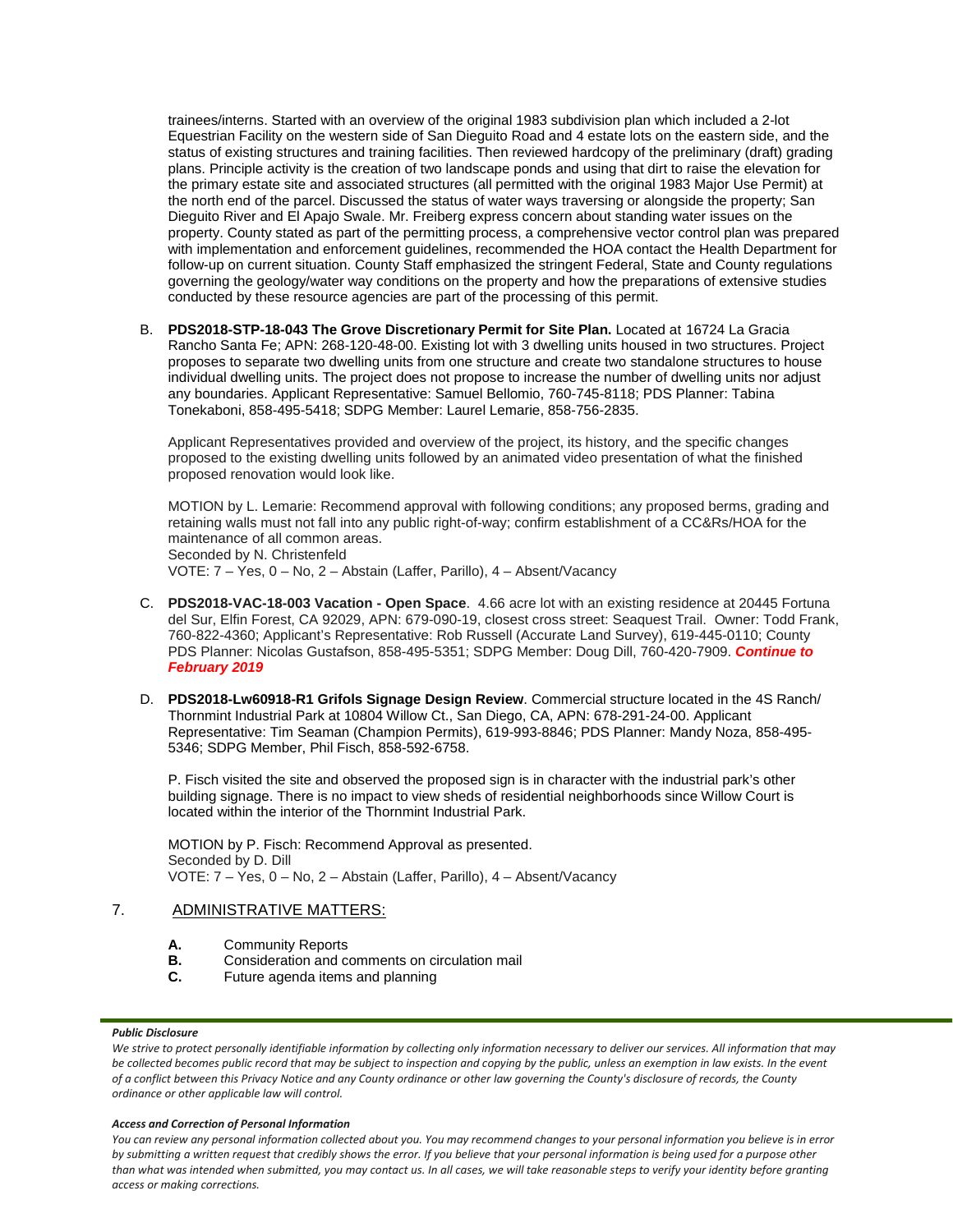trainees/interns. Started with an overview of the original 1983 subdivision plan which included a 2-lot Equestrian Facility on the western side of San Dieguito Road and 4 estate lots on the eastern side, and the status of existing structures and training facilities. Then reviewed hardcopy of the preliminary (draft) grading plans. Principle activity is the creation of two landscape ponds and using that dirt to raise the elevation for the primary estate site and associated structures (all permitted with the original 1983 Major Use Permit) at the north end of the parcel. Discussed the status of water ways traversing or alongside the property; San Dieguito River and El Apajo Swale. Mr. Freiberg express concern about standing water issues on the property. County stated as part of the permitting process, a comprehensive vector control plan was prepared with implementation and enforcement guidelines, recommended the HOA contact the Health Department for follow-up on current situation. County Staff emphasized the stringent Federal, State and County regulations governing the geology/water way conditions on the property and how the preparations of extensive studies conducted by these resource agencies are part of the processing of this permit.

B. **PDS2018-STP-18-043 The Grove Discretionary Permit for Site Plan.** Located at 16724 La Gracia Rancho Santa Fe; APN: 268-120-48-00. Existing lot with 3 dwelling units housed in two structures. Project proposes to separate two dwelling units from one structure and create two standalone structures to house individual dwelling units. The project does not propose to increase the number of dwelling units nor adjust any boundaries. Applicant Representative: Samuel Bellomio, 760-745-8118; PDS Planner: Tabina Tonekaboni, 858-495-5418; SDPG Member: Laurel Lemarie, 858-756-2835.

Applicant Representatives provided and overview of the project, its history, and the specific changes proposed to the existing dwelling units followed by an animated video presentation of what the finished proposed renovation would look like.

MOTION by L. Lemarie: Recommend approval with following conditions; any proposed berms, grading and retaining walls must not fall into any public right-of-way; confirm establishment of a CC&Rs/HOA for the maintenance of all common areas. Seconded by N. Christenfeld VOTE: 7 – Yes, 0 – No, 2 – Abstain (Laffer, Parillo), 4 – Absent/Vacancy

- C. **PDS2018-VAC-18-003 Vacation - Open Space**. 4.66 acre lot with an existing residence at 20445 Fortuna del Sur, Elfin Forest, CA 92029, APN: 679-090-19, closest cross street: Seaquest Trail. Owner: Todd Frank, 760-822-4360; Applicant's Representative: Rob Russell (Accurate Land Survey), 619-445-0110; County PDS Planner: Nicolas Gustafson, 858-495-5351; SDPG Member: Doug Dill, 760-420-7909. *Continue to February 2019*
- D. **PDS2018-Lw60918-R1 Grifols Signage Design Review**. Commercial structure located in the 4S Ranch/ Thornmint Industrial Park at 10804 Willow Ct., San Diego, CA, APN: 678-291-24-00. Applicant Representative: Tim Seaman (Champion Permits), 619-993-8846; PDS Planner: Mandy Noza, 858-495- 5346; SDPG Member, Phil Fisch, 858-592-6758.

P. Fisch visited the site and observed the proposed sign is in character with the industrial park's other building signage. There is no impact to view sheds of residential neighborhoods since Willow Court is located within the interior of the Thornmint Industrial Park.

MOTION by P. Fisch: Recommend Approval as presented. Seconded by D. Dill VOTE: 7 – Yes, 0 – No, 2 – Abstain (Laffer, Parillo), 4 – Absent/Vacancy

## 7. ADMINISTRATIVE MATTERS:

- **A.** Community Reports<br>**B.** Consideration and compared
- **B.** Consideration and comments on circulation mail
- **C.** Future agenda items and planning

### *Public Disclosure*

We strive to protect personally identifiable information by collecting only information necessary to deliver our services. All information that may *be collected becomes public record that may be subject to inspection and copying by the public, unless an exemption in law exists. In the event of a conflict between this Privacy Notice and any County ordinance or other law governing the County's disclosure of records, the County ordinance or other applicable law will control.*

### *Access and Correction of Personal Information*

*You can review any personal information collected about you. You may recommend changes to your personal information you believe is in error by submitting a written request that credibly shows the error. If you believe that your personal information is being used for a purpose other than what was intended when submitted, you may contact us. In all cases, we will take reasonable steps to verify your identity before granting access or making corrections.*